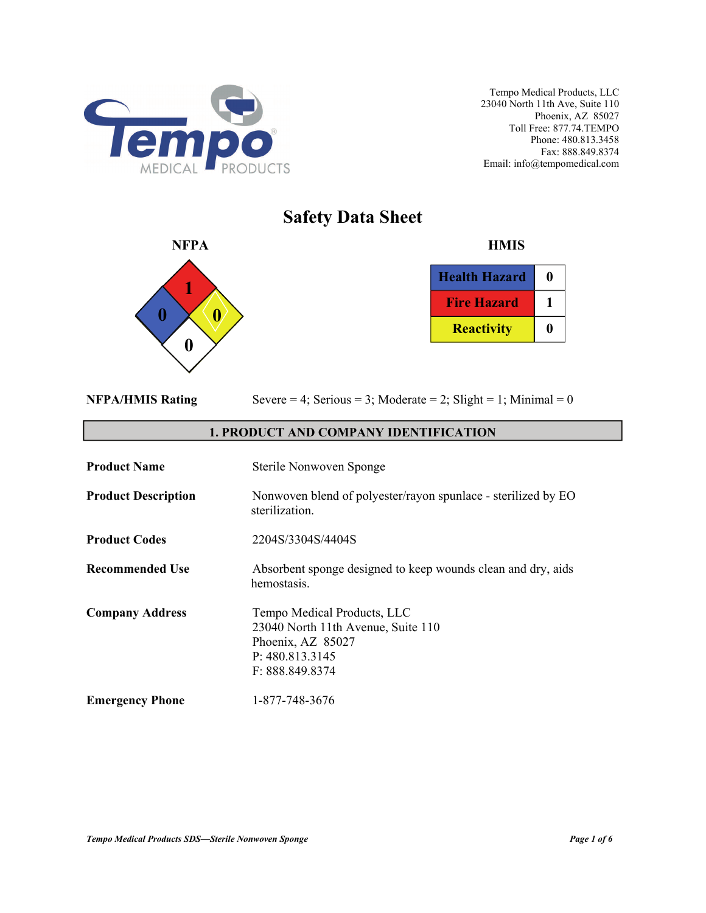

# **Safety Data Sheet**



| <b>Health Hazard</b> | n |
|----------------------|---|
| <b>Fire Hazard</b>   |   |
| <b>Reactivity</b>    |   |

|  | <b>NFPA/HMIS Rating</b> |
|--|-------------------------|
|  |                         |

Severe  $= 4$ ; Serious  $= 3$ ; Moderate  $= 2$ ; Slight  $= 1$ ; Minimal  $= 0$ 

## **1. PRODUCT AND COMPANY IDENTIFICATION**

| <b>Product Name</b>        | Sterile Nonwoven Sponge                                                                                                      |
|----------------------------|------------------------------------------------------------------------------------------------------------------------------|
| <b>Product Description</b> | Nonwoven blend of polyester/rayon spunlace - sterilized by EO<br>sterilization.                                              |
| <b>Product Codes</b>       | 2204S/3304S/4404S                                                                                                            |
| <b>Recommended Use</b>     | Absorbent sponge designed to keep wounds clean and dry, aids<br>hemostasis.                                                  |
| <b>Company Address</b>     | Tempo Medical Products, LLC<br>23040 North 11th Avenue, Suite 110<br>Phoenix, AZ 85027<br>P: 480.813.3145<br>F: 888.849.8374 |
| <b>Emergency Phone</b>     | 1-877-748-3676                                                                                                               |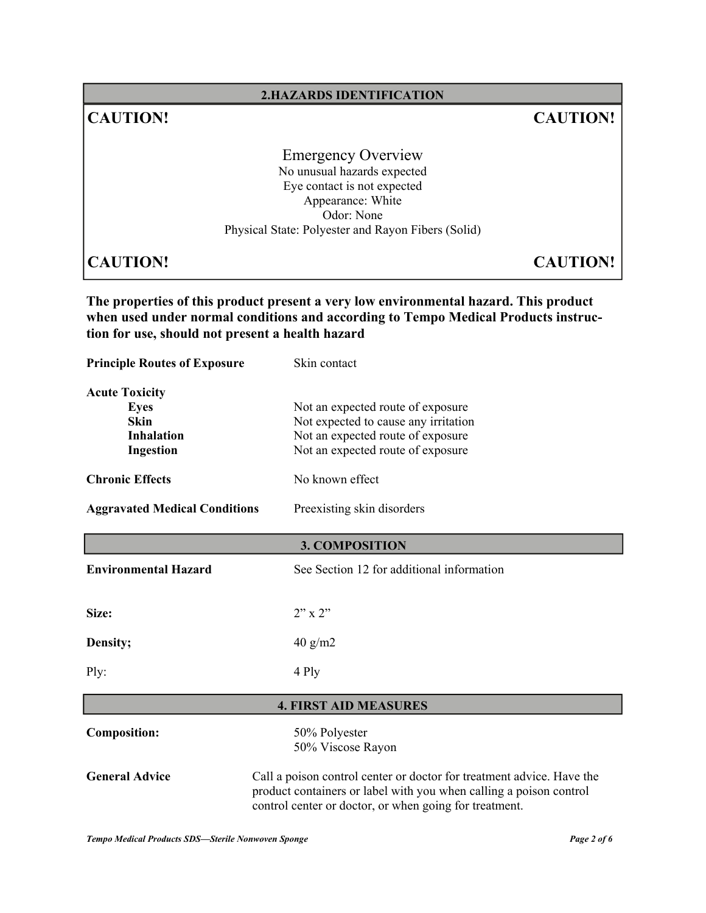## **2.HAZARDS IDENTIFICATION**

## **CAUTION! CAUTION!**

Emergency Overview No unusual hazards expected Eye contact is not expected Appearance: White Odor: None Physical State: Polyester and Rayon Fibers (Solid)

**CAUTION! CAUTION!**

**The properties of this product present a very low environmental hazard. This product when used under normal conditions and according to Tempo Medical Products instruction for use, should not present a health hazard** 

**Principle Routes of Exposure** Skin contact **Acute Toxicity Eyes** Not an expected route of exposure **Skin** Not expected to cause any irritation **Inhalation** Not an expected route of exposure **Ingestion** Not an expected route of exposure **Chronic Effects** No known effect **Aggravated Medical Conditions** Preexisting skin disorders **Environmental Hazard** See Section 12 for additional information **Size:** 2" x 2" **Density;** 40 g/m2 Ply: 4 Ply **Composition:** 50% Polyester 50% Viscose Rayon **General Advice** Call a poison control center or doctor for treatment advice. Have the product containers or label with you when calling a poison control control center or doctor, or when going for treatment. **3. COMPOSITION 4. FIRST AID MEASURES**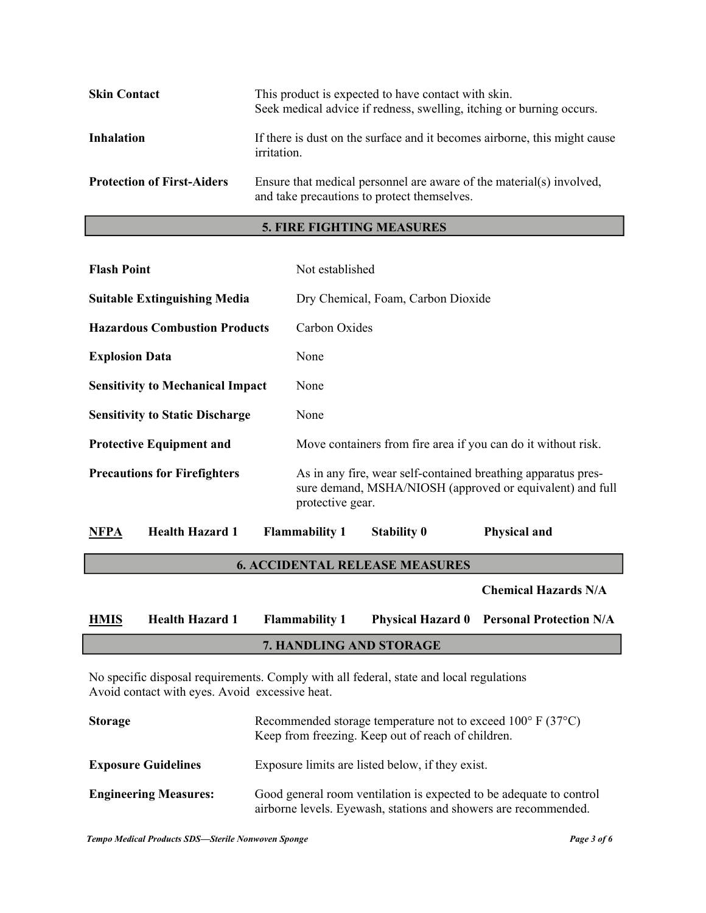| <b>Skin Contact</b>               | This product is expected to have contact with skin.<br>Seek medical advice if redness, swelling, itching or burning occurs. |
|-----------------------------------|-----------------------------------------------------------------------------------------------------------------------------|
| Inhalation                        | If there is dust on the surface and it becomes airborne, this might cause<br>irritation.                                    |
| <b>Protection of First-Aiders</b> | Ensure that medical personnel are aware of the material(s) involved,<br>and take precautions to protect themselves.         |

## **5. FIRE FIGHTING MEASURES**

| <b>Flash Point</b>                      | Not established                                                                                                                                |  |
|-----------------------------------------|------------------------------------------------------------------------------------------------------------------------------------------------|--|
| <b>Suitable Extinguishing Media</b>     | Dry Chemical, Foam, Carbon Dioxide                                                                                                             |  |
| <b>Hazardous Combustion Products</b>    | Carbon Oxides                                                                                                                                  |  |
| <b>Explosion Data</b>                   | None                                                                                                                                           |  |
| <b>Sensitivity to Mechanical Impact</b> | None                                                                                                                                           |  |
| <b>Sensitivity to Static Discharge</b>  | None                                                                                                                                           |  |
| <b>Protective Equipment and</b>         | Move containers from fire area if you can do it without risk.                                                                                  |  |
| <b>Precautions for Firefighters</b>     | As in any fire, wear self-contained breathing apparatus pres-<br>sure demand, MSHA/NIOSH (approved or equivalent) and full<br>protective gear. |  |
| <b>Health Hazard 1</b><br><b>NFPA</b>   | <b>Flammability 1</b><br><b>Stability 0</b><br><b>Physical and</b>                                                                             |  |

## **6. ACCIDENTAL RELEASE MEASURES**

 **Chemical Hazards N/A** 

| <b>HMIS</b>             | <b>Health Hazard 1</b> | <b>Flammability 1</b> |  | <b>Physical Hazard 0 Personal Protection N/A</b> |
|-------------------------|------------------------|-----------------------|--|--------------------------------------------------|
| 7. HANDLING AND STORAGE |                        |                       |  |                                                  |

No specific disposal requirements. Comply with all federal, state and local regulations Avoid contact with eyes. Avoid excessive heat.

| <b>Storage</b>               | Recommended storage temperature not to exceed $100^{\circ}$ F (37 $^{\circ}$ C)<br>Keep from freezing. Keep out of reach of children.  |
|------------------------------|----------------------------------------------------------------------------------------------------------------------------------------|
| <b>Exposure Guidelines</b>   | Exposure limits are listed below, if they exist.                                                                                       |
| <b>Engineering Measures:</b> | Good general room ventilation is expected to be adequate to control<br>airborne levels. Eyewash, stations and showers are recommended. |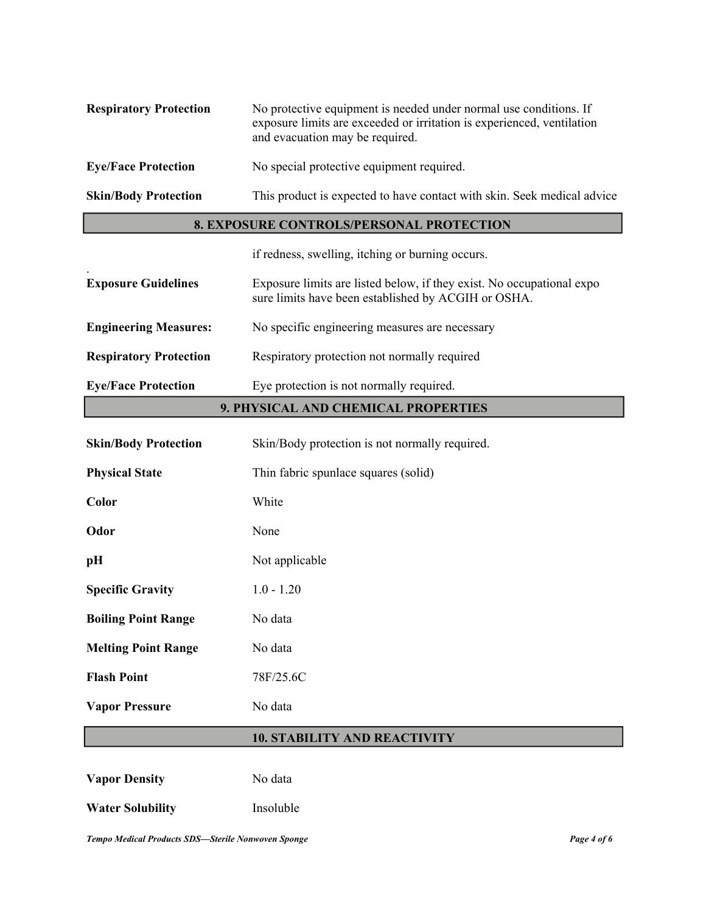| <b>Respiratory Protection</b> | No protective equipment is needed under normal use conditions. If<br>exposure limits are exceeded or irritation is experienced, ventilation<br>and evacuation may be required. |
|-------------------------------|--------------------------------------------------------------------------------------------------------------------------------------------------------------------------------|
| <b>Eye/Face Protection</b>    | No special protective equipment required.                                                                                                                                      |
| <b>Skin/Body Protection</b>   | This product is expected to have contact with skin. Seek medical advice                                                                                                        |

## **8. EXPOSURE CONTROLS/PERSONAL PROTECTION**

if redness, swelling, itching or burning occurs.

| <b>Exposure Guidelines</b>    | Exposure limits are listed below, if they exist. No occupational expo<br>sure limits have been established by ACGIH or OSHA. |
|-------------------------------|------------------------------------------------------------------------------------------------------------------------------|
| <b>Engineering Measures:</b>  | No specific engineering measures are necessary                                                                               |
| <b>Respiratory Protection</b> | Respiratory protection not normally required                                                                                 |

**Eye/Face Protection** Eye protection is not normally required.

## **9. PHYSICAL AND CHEMICAL PROPERTIES**

| <b>Skin/Body Protection</b> | Skin/Body protection is not normally required. |
|-----------------------------|------------------------------------------------|
| <b>Physical State</b>       | Thin fabric spunlace squares (solid)           |
| Color                       | White                                          |
| Odor                        | None                                           |
| pH                          | Not applicable                                 |
| <b>Specific Gravity</b>     | $1.0 - 1.20$                                   |
| <b>Boiling Point Range</b>  | No data                                        |
| <b>Melting Point Range</b>  | No data                                        |
| <b>Flash Point</b>          | 78F/25.6C                                      |
| <b>Vapor Pressure</b>       | No data                                        |

## **10. STABILITY AND REACTIVITY**

Vapor Density **No data Water Solubility** Insoluble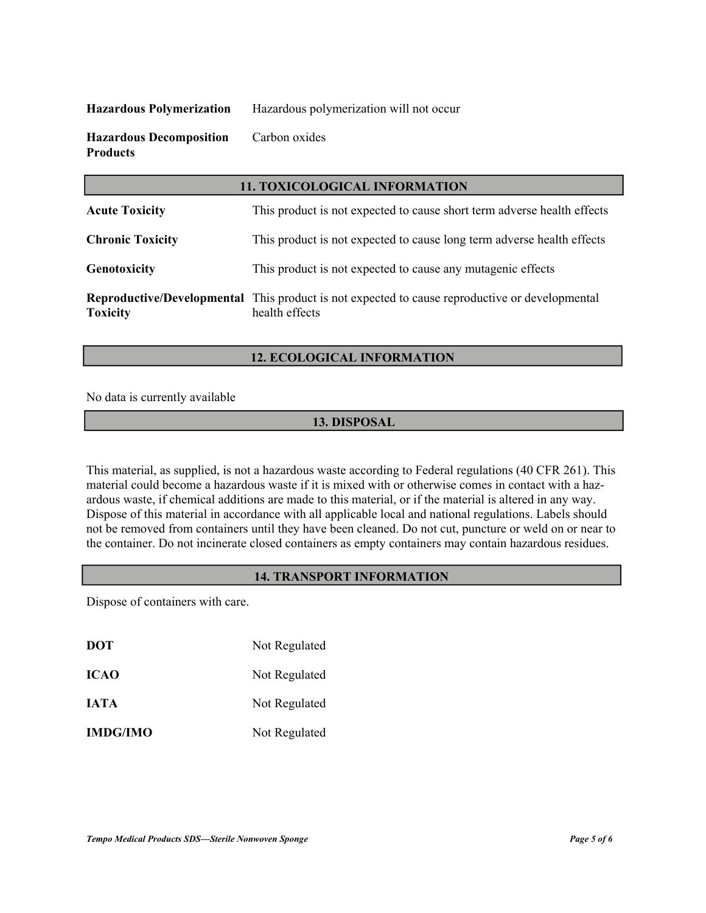**Hazardous Polymerization** Hazardous polymerization will not occur

**Hazardous Decomposition** Carbon oxides **Products** 

| <b>11. TOXICOLOGICAL INFORMATION</b> |                                                                                                                         |  |
|--------------------------------------|-------------------------------------------------------------------------------------------------------------------------|--|
| <b>Acute Toxicity</b>                | This product is not expected to cause short term adverse health effects                                                 |  |
| <b>Chronic Toxicity</b>              | This product is not expected to cause long term adverse health effects                                                  |  |
| Genotoxicity                         | This product is not expected to cause any mutagenic effects                                                             |  |
| <b>Toxicity</b>                      | <b>Reproductive/Developmental</b> This product is not expected to cause reproductive or developmental<br>health effects |  |

## **12. ECOLOGICAL INFORMATION**

No data is currently available

## **13. DISPOSAL**

This material, as supplied, is not a hazardous waste according to Federal regulations (40 CFR 261). This material could become a hazardous waste if it is mixed with or otherwise comes in contact with a hazardous waste, if chemical additions are made to this material, or if the material is altered in any way. Dispose of this material in accordance with all applicable local and national regulations. Labels should not be removed from containers until they have been cleaned. Do not cut, puncture or weld on or near to the container. Do not incinerate closed containers as empty containers may contain hazardous residues.

#### **14. TRANSPORT INFORMATION**

Dispose of containers with care.

| <b>DOT</b>      | Not Regulated |
|-----------------|---------------|
| <b>ICAO</b>     | Not Regulated |
| <b>IATA</b>     | Not Regulated |
| <b>IMDG/IMO</b> | Not Regulated |